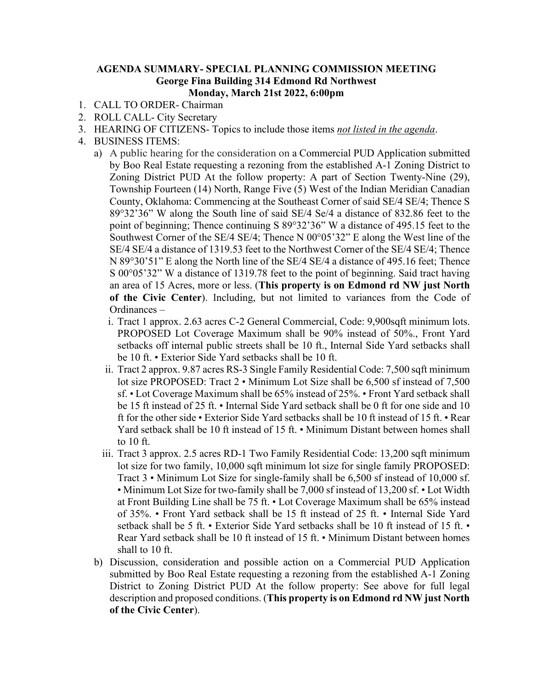## **AGENDA SUMMARY- SPECIAL PLANNING COMMISSION MEETING George Fina Building 314 Edmond Rd Northwest Monday, March 21st 2022, 6:00pm**

- 1. CALL TO ORDER- Chairman
- 2. ROLL CALL- City Secretary
- 3. HEARING OF CITIZENS- Topics to include those items *not listed in the agenda*.
- 4. BUSINESS ITEMS:
	- a) A public hearing for the consideration on a Commercial PUD Application submitted by Boo Real Estate requesting a rezoning from the established A-1 Zoning District to Zoning District PUD At the follow property: A part of Section Twenty-Nine (29), Township Fourteen (14) North, Range Five (5) West of the Indian Meridian Canadian County, Oklahoma: Commencing at the Southeast Corner of said SE/4 SE/4; Thence S 89°32'36" W along the South line of said SE/4 Se/4 a distance of 832.86 feet to the point of beginning; Thence continuing S 89°32'36" W a distance of 495.15 feet to the Southwest Corner of the SE/4 SE/4; Thence N 00°05'32" E along the West line of the SE/4 SE/4 a distance of 1319.53 feet to the Northwest Corner of the SE/4 SE/4; Thence N 89°30'51" E along the North line of the SE/4 SE/4 a distance of 495.16 feet; Thence S 00°05'32" W a distance of 1319.78 feet to the point of beginning. Said tract having an area of 15 Acres, more or less. (**This property is on Edmond rd NW just North of the Civic Center**). Including, but not limited to variances from the Code of Ordinances –
		- i. Tract 1 approx. 2.63 acres C-2 General Commercial, Code: 9,900sqft minimum lots. PROPOSED Lot Coverage Maximum shall be 90% instead of 50%., Front Yard setbacks off internal public streets shall be 10 ft., Internal Side Yard setbacks shall be 10 ft. • Exterior Side Yard setbacks shall be 10 ft.
		- ii. Tract 2 approx. 9.87 acres RS-3 Single Family Residential Code: 7,500 sqft minimum lot size PROPOSED: Tract 2 • Minimum Lot Size shall be 6,500 sf instead of 7,500 sf. • Lot Coverage Maximum shall be 65% instead of 25%. • Front Yard setback shall be 15 ft instead of 25 ft. • Internal Side Yard setback shall be 0 ft for one side and 10 ft for the other side • Exterior Side Yard setbacks shall be 10 ft instead of 15 ft. • Rear Yard setback shall be 10 ft instead of 15 ft. • Minimum Distant between homes shall to 10 ft.
		- iii. Tract 3 approx. 2.5 acres RD-1 Two Family Residential Code: 13,200 sqft minimum lot size for two family, 10,000 sqft minimum lot size for single family PROPOSED: Tract 3 • Minimum Lot Size for single-family shall be 6,500 sf instead of 10,000 sf. • Minimum Lot Size for two-family shall be 7,000 sf instead of 13,200 sf. • Lot Width at Front Building Line shall be 75 ft. • Lot Coverage Maximum shall be 65% instead of 35%. • Front Yard setback shall be 15 ft instead of 25 ft. • Internal Side Yard setback shall be 5 ft. • Exterior Side Yard setbacks shall be 10 ft instead of 15 ft. • Rear Yard setback shall be 10 ft instead of 15 ft. • Minimum Distant between homes shall to 10 ft.
	- b) Discussion, consideration and possible action on a Commercial PUD Application submitted by Boo Real Estate requesting a rezoning from the established A-1 Zoning District to Zoning District PUD At the follow property: See above for full legal description and proposed conditions. (**This property is on Edmond rd NW just North of the Civic Center**).